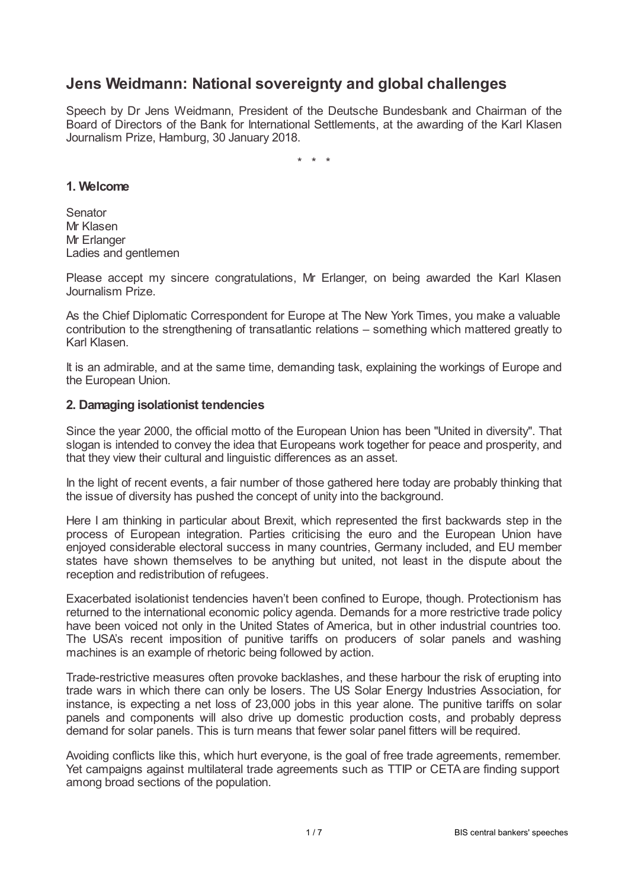# **Jens Weidmann: National sovereignty and global challenges**

Speech by Dr Jens Weidmann, President of the Deutsche Bundesbank and Chairman of the Board of Directors of the Bank for International Settlements, at the awarding of the Karl Klasen Journalism Prize, Hamburg, 30 January 2018.

\* \* \*

# **1. Welcome**

**Senator** Mr Klasen Mr Erlanger Ladies and gentlemen

Please accept my sincere congratulations, Mr Erlanger, on being awarded the Karl Klasen Journalism Prize.

As the Chief Diplomatic Correspondent for Europe at The New York Times, you make a valuable contribution to the strengthening of transatlantic relations – something which mattered greatly to Karl Klasen.

It is an admirable, and at the same time, demanding task, explaining the workings of Europe and the European Union.

# **2. Damaging isolationist tendencies**

Since the year 2000, the official motto of the European Union has been "United in diversity". That slogan is intended to convey the idea that Europeans work together for peace and prosperity, and that they view their cultural and linguistic differences as an asset.

In the light of recent events, a fair number of those gathered here today are probably thinking that the issue of diversity has pushed the concept of unity into the background.

Here I am thinking in particular about Brexit, which represented the first backwards step in the process of European integration. Parties criticising the euro and the European Union have enjoyed considerable electoral success in many countries, Germany included, and EU member states have shown themselves to be anything but united, not least in the dispute about the reception and redistribution of refugees.

Exacerbated isolationist tendencies haven't been confined to Europe, though. Protectionism has returned to the international economic policy agenda. Demands for a more restrictive trade policy have been voiced not only in the United States of America, but in other industrial countries too. The USA's recent imposition of punitive tariffs on producers of solar panels and washing machines is an example of rhetoric being followed by action.

Trade-restrictive measures often provoke backlashes, and these harbour the risk of erupting into trade wars in which there can only be losers. The US Solar Energy Industries Association, for instance, is expecting a net loss of 23,000 jobs in this year alone. The punitive tariffs on solar panels and components will also drive up domestic production costs, and probably depress demand for solar panels. This is turn means that fewer solar panel fitters will be required.

Avoiding conflicts like this, which hurt everyone, is the goal of free trade agreements, remember. Yet campaigns against multilateral trade agreements such as TTIP or CETA are finding support among broad sections of the population.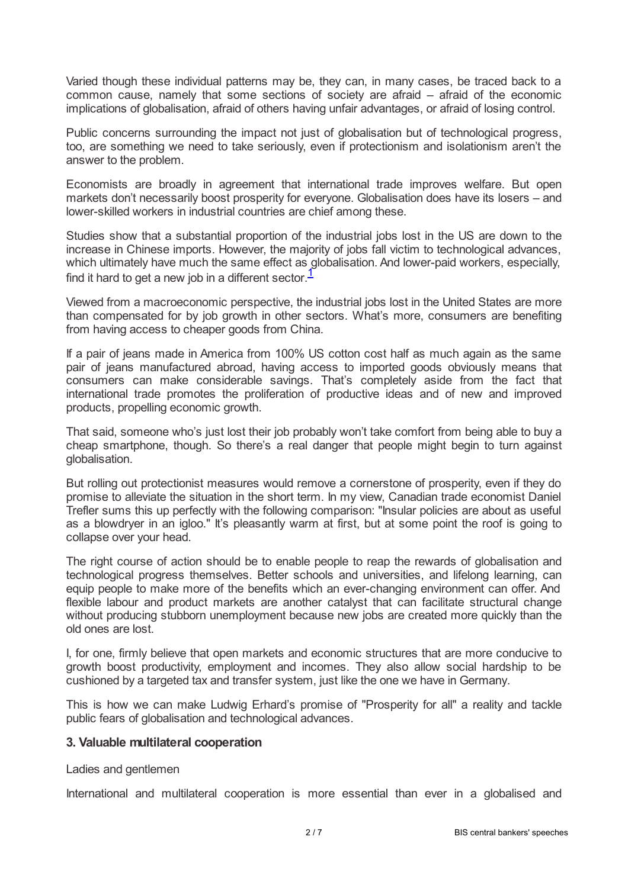Varied though these individual patterns may be, they can, in many cases, be traced back to a common cause, namely that some sections of society are afraid – afraid of the economic implications of globalisation, afraid of others having unfair advantages, or afraid of losing control.

Public concerns surrounding the impact not just of globalisation but of technological progress, too, are something we need to take seriously, even if protectionism and isolationism aren't the answer to the problem.

Economists are broadly in agreement that international trade improves welfare. But open markets don't necessarily boost prosperity for everyone. Globalisation does have its losers – and lower-skilled workers in industrial countries are chief among these.

Studies show that a substantial proportion of the industrial jobs lost in the US are down to the increase in Chinese imports. However, the majority of jobs fall victim to technological advances, which ultimately have much the same effect as globalisation. And lower-paid workers, especially, find it hard to get a new job in a different sector.<sup>[1](#page-6-0)</sup>

<span id="page-1-0"></span>Viewed from a macroeconomic perspective, the industrial jobs lost in the United States are more than compensated for by job growth in other sectors. What's more, consumers are benefiting from having access to cheaper goods from China.

If a pair of jeans made in America from 100% US cotton cost half as much again as the same pair of jeans manufactured abroad, having access to imported goods obviously means that consumers can make considerable savings. That's completely aside from the fact that international trade promotes the proliferation of productive ideas and of new and improved products, propelling economic growth.

That said, someone who's just lost their job probably won't take comfort from being able to buy a cheap smartphone, though. So there's a real danger that people might begin to turn against globalisation.

But rolling out protectionist measures would remove a cornerstone of prosperity, even if they do promise to alleviate the situation in the short term. In my view, Canadian trade economist Daniel Trefler sums this up perfectly with the following comparison: "Insular policies are about as useful as a blowdryer in an igloo." It's pleasantly warm at first, but at some point the roof is going to collapse over your head.

The right course of action should be to enable people to reap the rewards of globalisation and technological progress themselves. Better schools and universities, and lifelong learning, can equip people to make more of the benefits which an ever-changing environment can offer. And flexible labour and product markets are another catalyst that can facilitate structural change without producing stubborn unemployment because new jobs are created more quickly than the old ones are lost.

I, for one, firmly believe that open markets and economic structures that are more conducive to growth boost productivity, employment and incomes. They also allow social hardship to be cushioned by a targeted tax and transfer system, just like the one we have in Germany.

This is how we can make Ludwig Erhard's promise of "Prosperity for all" a reality and tackle public fears of globalisation and technological advances.

# **3. Valuable multilateral cooperation**

Ladies and gentlemen

International and multilateral cooperation is more essential than ever in a globalised and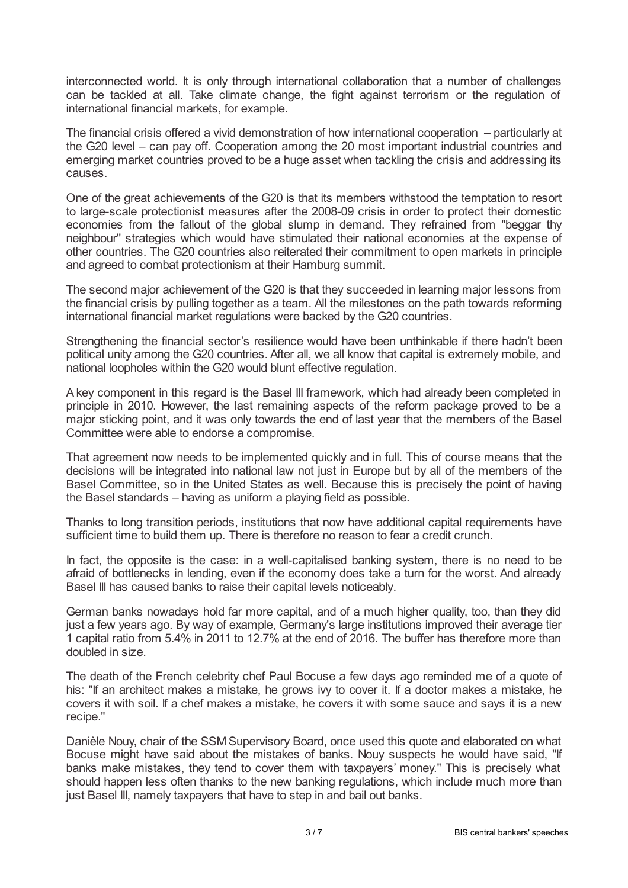interconnected world. It is only through international collaboration that a number of challenges can be tackled at all. Take climate change, the fight against terrorism or the regulation of international financial markets, for example.

The financial crisis offered a vivid demonstration of how international cooperation – particularly at the G20 level – can pay off. Cooperation among the 20 most important industrial countries and emerging market countries proved to be a huge asset when tackling the crisis and addressing its causes.

One of the great achievements of the G20 is that its members withstood the temptation to resort to large-scale protectionist measures after the 2008-09 crisis in order to protect their domestic economies from the fallout of the global slump in demand. They refrained from "beggar thy neighbour" strategies which would have stimulated their national economies at the expense of other countries. The G20 countries also reiterated their commitment to open markets in principle and agreed to combat protectionism at their Hamburg summit.

The second major achievement of the G20 is that they succeeded in learning major lessons from the financial crisis by pulling together as a team. All the milestones on the path towards reforming international financial market regulations were backed by the G20 countries.

Strengthening the financial sector's resilience would have been unthinkable if there hadn't been political unity among the G20 countries. After all, we all know that capital is extremely mobile, and national loopholes within the G20 would blunt effective regulation.

A key component in this regard is the Basel III framework, which had already been completed in principle in 2010. However, the last remaining aspects of the reform package proved to be a major sticking point, and it was only towards the end of last year that the members of the Basel Committee were able to endorse a compromise.

That agreement now needs to be implemented quickly and in full. This of course means that the decisions will be integrated into national law not just in Europe but by all of the members of the Basel Committee, so in the United States as well. Because this is precisely the point of having the Basel standards – having as uniform a playing field as possible.

Thanks to long transition periods, institutions that now have additional capital requirements have sufficient time to build them up. There is therefore no reason to fear a credit crunch.

In fact, the opposite is the case: in a well-capitalised banking system, there is no need to be afraid of bottlenecks in lending, even if the economy does take a turn for the worst. And already Basel III has caused banks to raise their capital levels noticeably.

German banks nowadays hold far more capital, and of a much higher quality, too, than they did just a few years ago. By way of example, Germany's large institutions improved their average tier 1 capital ratio from 5.4% in 2011 to 12.7% at the end of 2016. The buffer has therefore more than doubled in size.

The death of the French celebrity chef Paul Bocuse a few days ago reminded me of a quote of his: "If an architect makes a mistake, he grows ivy to cover it. If a doctor makes a mistake, he covers it with soil. If a chef makes a mistake, he covers it with some sauce and says it is a new recipe."

Danièle Nouy, chair of the SSM Supervisory Board, once used this quote and elaborated on what Bocuse might have said about the mistakes of banks. Nouy suspects he would have said, "If banks make mistakes, they tend to cover them with taxpayers' money." This is precisely what should happen less often thanks to the new banking regulations, which include much more than just Basel III, namely taxpayers that have to step in and bail out banks.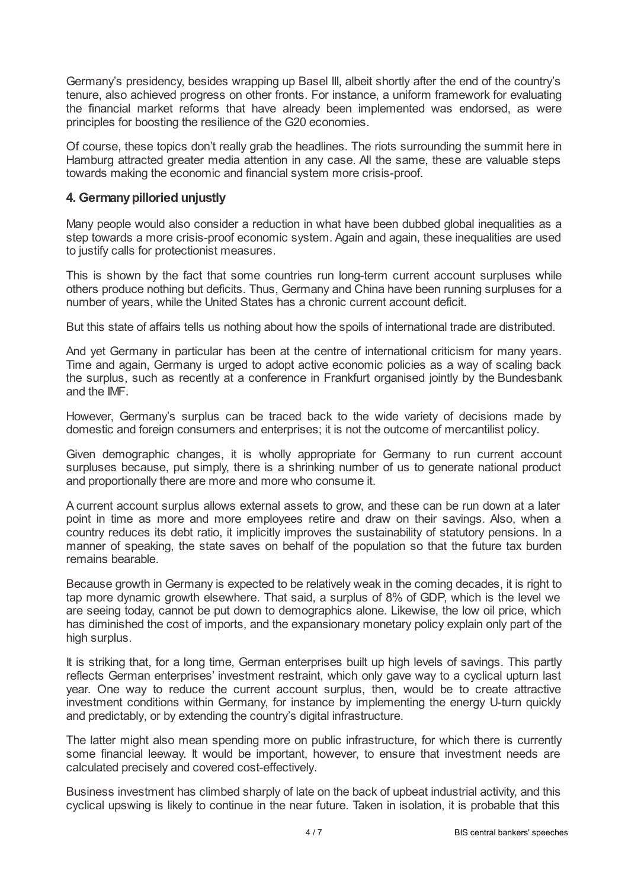Germany's presidency, besides wrapping up Basel III, albeit shortly after the end of the country's tenure, also achieved progress on other fronts. For instance, a uniform framework for evaluating the financial market reforms that have already been implemented was endorsed, as were principles for boosting the resilience of the G20 economies.

Of course, these topics don't really grab the headlines. The riots surrounding the summit here in Hamburg attracted greater media attention in any case. All the same, these are valuable steps towards making the economic and financial system more crisis-proof.

# **4. Germanypilloried unjustly**

Many people would also consider a reduction in what have been dubbed global inequalities as a step towards a more crisis-proof economic system. Again and again, these inequalities are used to justify calls for protectionist measures.

This is shown by the fact that some countries run long-term current account surpluses while others produce nothing but deficits. Thus, Germany and China have been running surpluses for a number of years, while the United States has a chronic current account deficit.

But this state of affairs tells us nothing about how the spoils of international trade are distributed.

And yet Germany in particular has been at the centre of international criticism for many years. Time and again, Germany is urged to adopt active economic policies as a way of scaling back the surplus, such as recently at a conference in Frankfurt organised jointly by the Bundesbank and the IMF.

However, Germany's surplus can be traced back to the wide variety of decisions made by domestic and foreign consumers and enterprises; it is not the outcome of mercantilist policy.

Given demographic changes, it is wholly appropriate for Germany to run current account surpluses because, put simply, there is a shrinking number of us to generate national product and proportionally there are more and more who consume it.

A current account surplus allows external assets to grow, and these can be run down at a later point in time as more and more employees retire and draw on their savings. Also, when a country reduces its debt ratio, it implicitly improves the sustainability of statutory pensions. In a manner of speaking, the state saves on behalf of the population so that the future tax burden remains bearable.

Because growth in Germany is expected to be relatively weak in the coming decades, it is right to tap more dynamic growth elsewhere. That said, a surplus of 8% of GDP, which is the level we are seeing today, cannot be put down to demographics alone. Likewise, the low oil price, which has diminished the cost of imports, and the expansionary monetary policy explain only part of the high surplus.

It is striking that, for a long time, German enterprises built up high levels of savings. This partly reflects German enterprises' investment restraint, which only gave way to a cyclical upturn last year. One way to reduce the current account surplus, then, would be to create attractive investment conditions within Germany, for instance by implementing the energy U-turn quickly and predictably, or by extending the country's digital infrastructure.

The latter might also mean spending more on public infrastructure, for which there is currently some financial leeway. It would be important, however, to ensure that investment needs are calculated precisely and covered cost-effectively.

Business investment has climbed sharply of late on the back of upbeat industrial activity, and this cyclical upswing is likely to continue in the near future. Taken in isolation, it is probable that this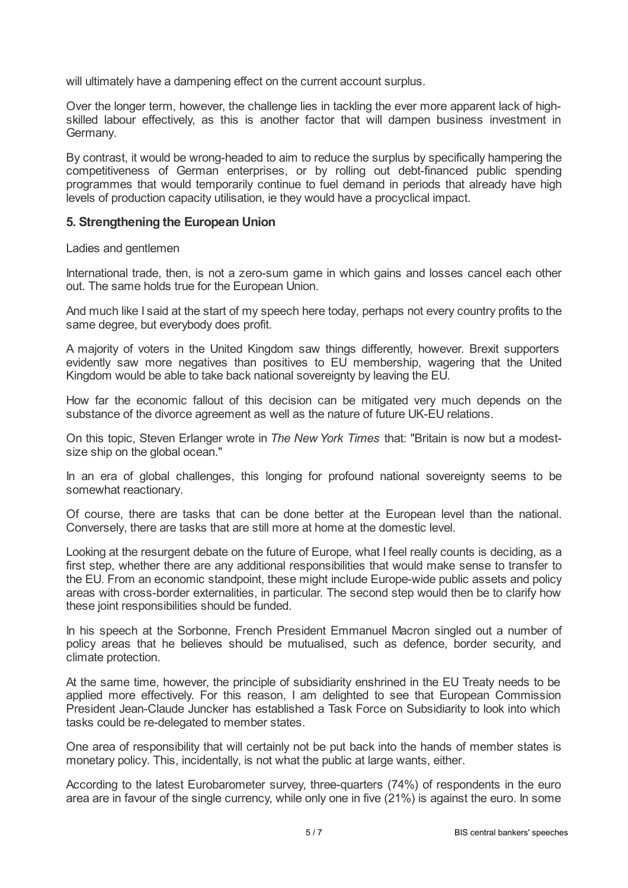will ultimately have a dampening effect on the current account surplus.

Over the longer term, however, the challenge lies in tackling the ever more apparent lack of highskilled labour effectively, as this is another factor that will dampen business investment in Germany.

By contrast, it would be wrong-headed to aim to reduce the surplus by specifically hampering the competitiveness of German enterprises, or by rolling out debt-financed public spending programmes that would temporarily continue to fuel demand in periods that already have high levels of production capacity utilisation, ie they would have a procyclical impact.

# **5. Strengthening the European Union**

Ladies and gentlemen

International trade, then, is not a zero-sum game in which gains and losses cancel each other out. The same holds true for the European Union.

And much like I said at the start of my speech here today, perhaps not every country profits to the same degree, but everybody does profit.

A majority of voters in the United Kingdom saw things differently, however. Brexit supporters evidently saw more negatives than positives to EU membership, wagering that the United Kingdom would be able to take back national sovereignty by leaving the EU.

How far the economic fallout of this decision can be mitigated very much depends on the substance of the divorce agreement as well as the nature of future UK-EU relations.

On this topic, Steven Erlanger wrote in *The New York Times* that: "Britain is now but a modestsize ship on the global ocean."

In an era of global challenges, this longing for profound national sovereignty seems to be somewhat reactionary.

Of course, there are tasks that can be done better at the European level than the national. Conversely, there are tasks that are still more at home at the domestic level.

Looking at the resurgent debate on the future of Europe, what I feel really counts is deciding, as a first step, whether there are any additional responsibilities that would make sense to transfer to the EU. From an economic standpoint, these might include Europe-wide public assets and policy areas with cross-border externalities, in particular. The second step would then be to clarify how these joint responsibilities should be funded.

In his speech at the Sorbonne, French President Emmanuel Macron singled out a number of policy areas that he believes should be mutualised, such as defence, border security, and climate protection.

At the same time, however, the principle of subsidiarity enshrined in the EU Treaty needs to be applied more effectively. For this reason, I am delighted to see that European Commission President Jean-Claude Juncker has established a Task Force on Subsidiarity to look into which tasks could be re-delegated to member states.

One area of responsibility that will certainly not be put back into the hands of member states is monetary policy. This, incidentally, is not what the public at large wants, either.

According to the latest Eurobarometer survey, three-quarters (74%) of respondents in the euro area are in favour of the single currency, while only one in five (21%) is against the euro. In some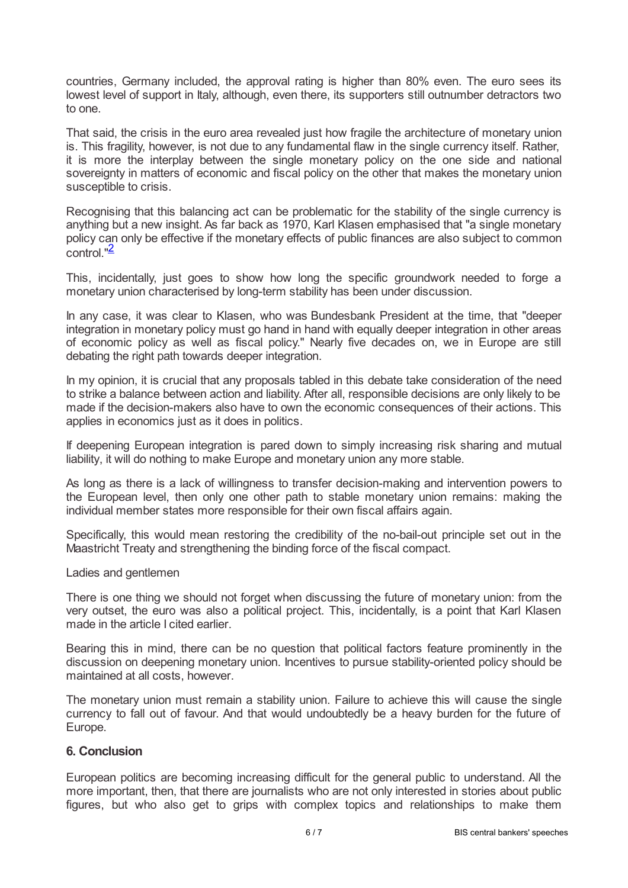countries, Germany included, the approval rating is higher than 80% even. The euro sees its lowest level of support in Italy, although, even there, its supporters still outnumber detractors two to one.

That said, the crisis in the euro area revealed just how fragile the architecture of monetary union is. This fragility, however, is not due to any fundamental flaw in the single currency itself. Rather, it is more the interplay between the single monetary policy on the one side and national sovereignty in matters of economic and fiscal policy on the other that makes the monetary union susceptible to crisis.

Recognising that this balancing act can be problematic for the stability of the single currency is anything but a new insight. As far back as 1970, Karl Klasen emphasised that "a single monetary policy can only be effective if the monetary effects of public finances are also subject to common control."<sup>[2](#page-6-1)</sup>

<span id="page-5-0"></span>This, incidentally, just goes to show how long the specific groundwork needed to forge a monetary union characterised by long-term stability has been under discussion.

In any case, it was clear to Klasen, who was Bundesbank President at the time, that "deeper integration in monetary policy must go hand in hand with equally deeper integration in other areas of economic policy as well as fiscal policy." Nearly five decades on, we in Europe are still debating the right path towards deeper integration.

In my opinion, it is crucial that any proposals tabled in this debate take consideration of the need to strike a balance between action and liability. After all, responsible decisions are only likely to be made if the decision-makers also have to own the economic consequences of their actions. This applies in economics just as it does in politics.

If deepening European integration is pared down to simply increasing risk sharing and mutual liability, it will do nothing to make Europe and monetary union any more stable.

As long as there is a lack of willingness to transfer decision-making and intervention powers to the European level, then only one other path to stable monetary union remains: making the individual member states more responsible for their own fiscal affairs again.

Specifically, this would mean restoring the credibility of the no-bail-out principle set out in the Maastricht Treaty and strengthening the binding force of the fiscal compact.

#### Ladies and gentlemen

There is one thing we should not forget when discussing the future of monetary union: from the very outset, the euro was also a political project. This, incidentally, is a point that Karl Klasen made in the article I cited earlier.

Bearing this in mind, there can be no question that political factors feature prominently in the discussion on deepening monetary union. Incentives to pursue stability-oriented policy should be maintained at all costs, however.

The monetary union must remain a stability union. Failure to achieve this will cause the single currency to fall out of favour. And that would undoubtedly be a heavy burden for the future of Europe.

# **6. Conclusion**

European politics are becoming increasing difficult for the general public to understand. All the more important, then, that there are journalists who are not only interested in stories about public figures, but who also get to grips with complex topics and relationships to make them